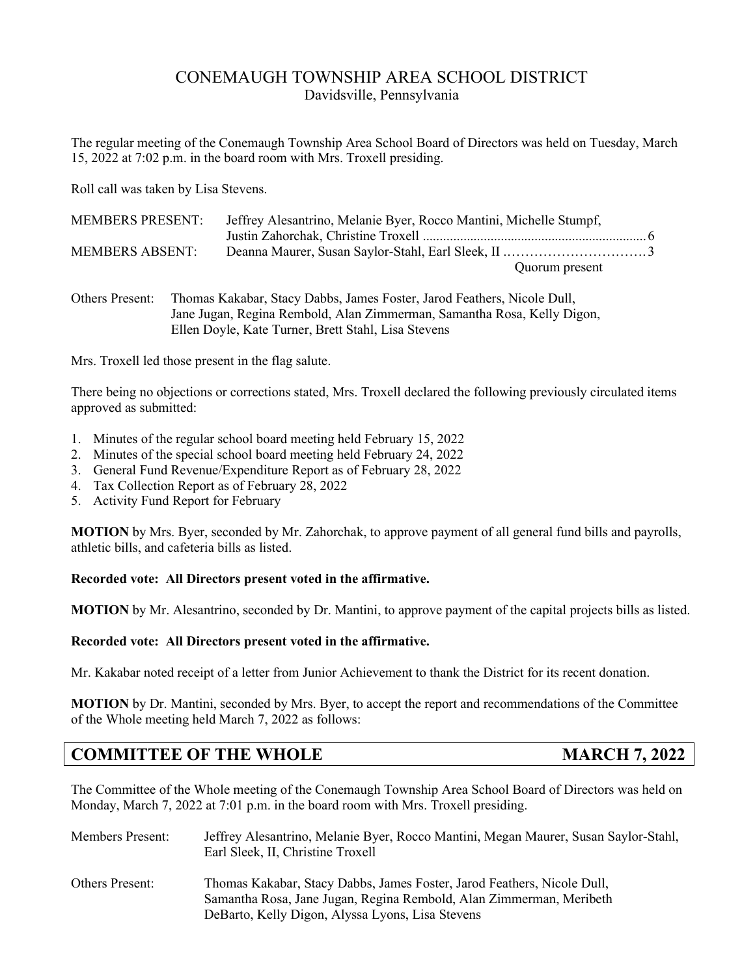# CONEMAUGH TOWNSHIP AREA SCHOOL DISTRICT Davidsville, Pennsylvania

The regular meeting of the Conemaugh Township Area School Board of Directors was held on Tuesday, March 15, 2022 at 7:02 p.m. in the board room with Mrs. Troxell presiding.

Roll call was taken by Lisa Stevens.

| <b>MEMBERS PRESENT:</b> | Jeffrey Alesantrino, Melanie Byer, Rocco Mantini, Michelle Stumpf, |  |
|-------------------------|--------------------------------------------------------------------|--|
|                         |                                                                    |  |
| <b>MEMBERS ABSENT:</b>  |                                                                    |  |
|                         | Quorum present                                                     |  |

Others Present: Thomas Kakabar, Stacy Dabbs, James Foster, Jarod Feathers, Nicole Dull, Jane Jugan, Regina Rembold, Alan Zimmerman, Samantha Rosa, Kelly Digon, Ellen Doyle, Kate Turner, Brett Stahl, Lisa Stevens

Mrs. Troxell led those present in the flag salute.

There being no objections or corrections stated, Mrs. Troxell declared the following previously circulated items approved as submitted:

- 1. Minutes of the regular school board meeting held February 15, 2022
- 2. Minutes of the special school board meeting held February 24, 2022
- 3. General Fund Revenue/Expenditure Report as of February 28, 2022
- 4. Tax Collection Report as of February 28, 2022
- 5. Activity Fund Report for February

**MOTION** by Mrs. Byer, seconded by Mr. Zahorchak, to approve payment of all general fund bills and payrolls, athletic bills, and cafeteria bills as listed.

## **Recorded vote: All Directors present voted in the affirmative.**

**MOTION** by Mr. Alesantrino, seconded by Dr. Mantini, to approve payment of the capital projects bills as listed.

## **Recorded vote: All Directors present voted in the affirmative.**

Mr. Kakabar noted receipt of a letter from Junior Achievement to thank the District for its recent donation.

**MOTION** by Dr. Mantini, seconded by Mrs. Byer, to accept the report and recommendations of the Committee of the Whole meeting held March 7, 2022 as follows:

# **COMMITTEE OF THE WHOLE MARCH 7, 2022**

The Committee of the Whole meeting of the Conemaugh Township Area School Board of Directors was held on Monday, March 7, 2022 at 7:01 p.m. in the board room with Mrs. Troxell presiding.

| <b>Members Present:</b> | Jeffrey Alesantrino, Melanie Byer, Rocco Mantini, Megan Maurer, Susan Saylor-Stahl,<br>Earl Sleek, II, Christine Troxell                       |
|-------------------------|------------------------------------------------------------------------------------------------------------------------------------------------|
| <b>Others Present:</b>  | Thomas Kakabar, Stacy Dabbs, James Foster, Jarod Feathers, Nicole Dull,<br>Samantha Rosa, Jane Jugan, Regina Rembold, Alan Zimmerman, Meribeth |
|                         | DeBarto, Kelly Digon, Alyssa Lyons, Lisa Stevens                                                                                               |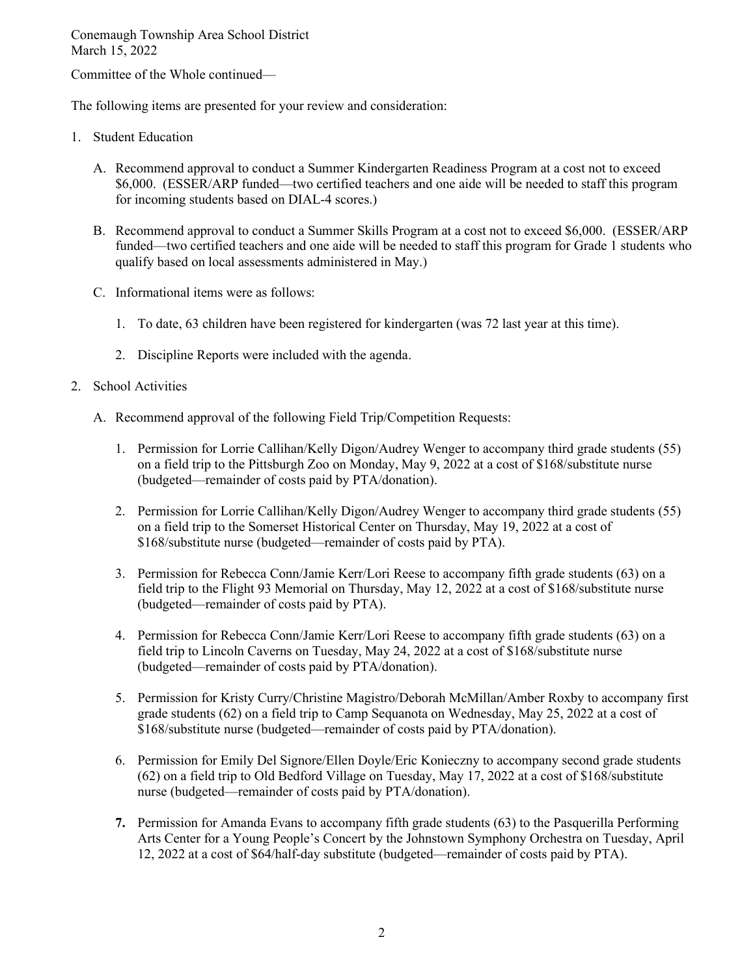Committee of the Whole continued—

The following items are presented for your review and consideration:

- 1. Student Education
	- A. Recommend approval to conduct a Summer Kindergarten Readiness Program at a cost not to exceed \$6,000. (ESSER/ARP funded—two certified teachers and one aide will be needed to staff this program for incoming students based on DIAL-4 scores.)
	- B. Recommend approval to conduct a Summer Skills Program at a cost not to exceed \$6,000. (ESSER/ARP funded—two certified teachers and one aide will be needed to staff this program for Grade 1 students who qualify based on local assessments administered in May.)
	- C. Informational items were as follows:
		- 1. To date, 63 children have been registered for kindergarten (was 72 last year at this time).
		- 2. Discipline Reports were included with the agenda.
- 2. School Activities
	- A. Recommend approval of the following Field Trip/Competition Requests:
		- 1. Permission for Lorrie Callihan/Kelly Digon/Audrey Wenger to accompany third grade students (55) on a field trip to the Pittsburgh Zoo on Monday, May 9, 2022 at a cost of \$168/substitute nurse (budgeted—remainder of costs paid by PTA/donation).
		- 2. Permission for Lorrie Callihan/Kelly Digon/Audrey Wenger to accompany third grade students (55) on a field trip to the Somerset Historical Center on Thursday, May 19, 2022 at a cost of \$168/substitute nurse (budgeted—remainder of costs paid by PTA).
		- 3. Permission for Rebecca Conn/Jamie Kerr/Lori Reese to accompany fifth grade students (63) on a field trip to the Flight 93 Memorial on Thursday, May 12, 2022 at a cost of \$168/substitute nurse (budgeted—remainder of costs paid by PTA).
		- 4. Permission for Rebecca Conn/Jamie Kerr/Lori Reese to accompany fifth grade students (63) on a field trip to Lincoln Caverns on Tuesday, May 24, 2022 at a cost of \$168/substitute nurse (budgeted—remainder of costs paid by PTA/donation).
		- 5. Permission for Kristy Curry/Christine Magistro/Deborah McMillan/Amber Roxby to accompany first grade students (62) on a field trip to Camp Sequanota on Wednesday, May 25, 2022 at a cost of \$168/substitute nurse (budgeted—remainder of costs paid by PTA/donation).
		- 6. Permission for Emily Del Signore/Ellen Doyle/Eric Konieczny to accompany second grade students (62) on a field trip to Old Bedford Village on Tuesday, May 17, 2022 at a cost of \$168/substitute nurse (budgeted—remainder of costs paid by PTA/donation).
		- **7.** Permission for Amanda Evans to accompany fifth grade students (63) to the Pasquerilla Performing Arts Center for a Young People's Concert by the Johnstown Symphony Orchestra on Tuesday, April 12, 2022 at a cost of \$64/half-day substitute (budgeted—remainder of costs paid by PTA).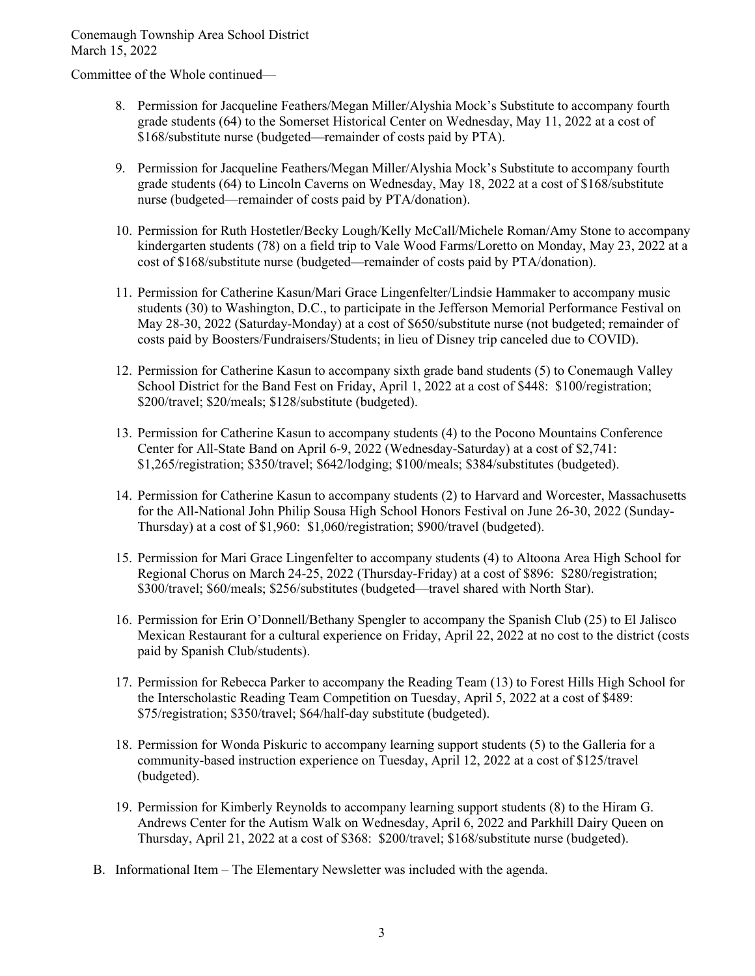Committee of the Whole continued—

- 8. Permission for Jacqueline Feathers/Megan Miller/Alyshia Mock's Substitute to accompany fourth grade students (64) to the Somerset Historical Center on Wednesday, May 11, 2022 at a cost of \$168/substitute nurse (budgeted—remainder of costs paid by PTA).
- 9. Permission for Jacqueline Feathers/Megan Miller/Alyshia Mock's Substitute to accompany fourth grade students (64) to Lincoln Caverns on Wednesday, May 18, 2022 at a cost of \$168/substitute nurse (budgeted—remainder of costs paid by PTA/donation).
- 10. Permission for Ruth Hostetler/Becky Lough/Kelly McCall/Michele Roman/Amy Stone to accompany kindergarten students (78) on a field trip to Vale Wood Farms/Loretto on Monday, May 23, 2022 at a cost of \$168/substitute nurse (budgeted—remainder of costs paid by PTA/donation).
- 11. Permission for Catherine Kasun/Mari Grace Lingenfelter/Lindsie Hammaker to accompany music students (30) to Washington, D.C., to participate in the Jefferson Memorial Performance Festival on May 28-30, 2022 (Saturday-Monday) at a cost of \$650/substitute nurse (not budgeted; remainder of costs paid by Boosters/Fundraisers/Students; in lieu of Disney trip canceled due to COVID).
- 12. Permission for Catherine Kasun to accompany sixth grade band students (5) to Conemaugh Valley School District for the Band Fest on Friday, April 1, 2022 at a cost of \$448: \$100/registration; \$200/travel; \$20/meals; \$128/substitute (budgeted).
- 13. Permission for Catherine Kasun to accompany students (4) to the Pocono Mountains Conference Center for All-State Band on April 6-9, 2022 (Wednesday-Saturday) at a cost of \$2,741: \$1,265/registration; \$350/travel; \$642/lodging; \$100/meals; \$384/substitutes (budgeted).
- 14. Permission for Catherine Kasun to accompany students (2) to Harvard and Worcester, Massachusetts for the All-National John Philip Sousa High School Honors Festival on June 26-30, 2022 (Sunday-Thursday) at a cost of \$1,960: \$1,060/registration; \$900/travel (budgeted).
- 15. Permission for Mari Grace Lingenfelter to accompany students (4) to Altoona Area High School for Regional Chorus on March 24-25, 2022 (Thursday-Friday) at a cost of \$896: \$280/registration; \$300/travel; \$60/meals; \$256/substitutes (budgeted—travel shared with North Star).
- 16. Permission for Erin O'Donnell/Bethany Spengler to accompany the Spanish Club (25) to El Jalisco Mexican Restaurant for a cultural experience on Friday, April 22, 2022 at no cost to the district (costs paid by Spanish Club/students).
- 17. Permission for Rebecca Parker to accompany the Reading Team (13) to Forest Hills High School for the Interscholastic Reading Team Competition on Tuesday, April 5, 2022 at a cost of \$489: \$75/registration; \$350/travel; \$64/half-day substitute (budgeted).
- 18. Permission for Wonda Piskuric to accompany learning support students (5) to the Galleria for a community-based instruction experience on Tuesday, April 12, 2022 at a cost of \$125/travel (budgeted).
- 19. Permission for Kimberly Reynolds to accompany learning support students (8) to the Hiram G. Andrews Center for the Autism Walk on Wednesday, April 6, 2022 and Parkhill Dairy Queen on Thursday, April 21, 2022 at a cost of \$368: \$200/travel; \$168/substitute nurse (budgeted).
- B. Informational Item The Elementary Newsletter was included with the agenda.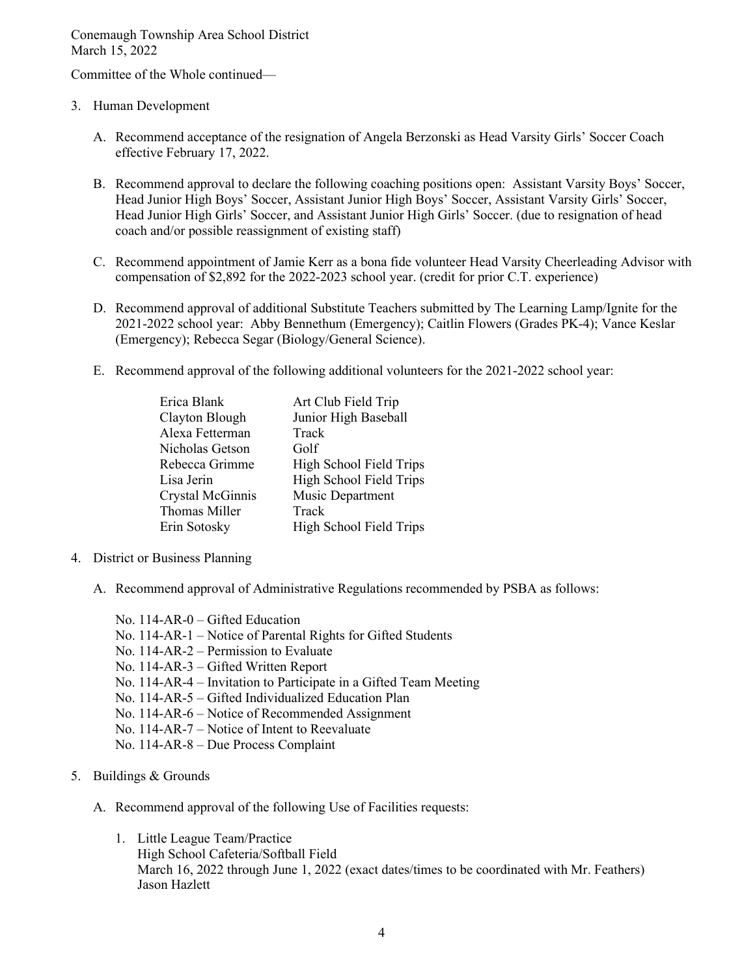Committee of the Whole continued—

- 3. Human Development
	- A. Recommend acceptance of the resignation of Angela Berzonski as Head Varsity Girls' Soccer Coach effective February 17, 2022.
	- B. Recommend approval to declare the following coaching positions open: Assistant Varsity Boys' Soccer, Head Junior High Boys' Soccer, Assistant Junior High Boys' Soccer, Assistant Varsity Girls' Soccer, Head Junior High Girls' Soccer, and Assistant Junior High Girls' Soccer. (due to resignation of head coach and/or possible reassignment of existing staff)
	- C. Recommend appointment of Jamie Kerr as a bona fide volunteer Head Varsity Cheerleading Advisor with compensation of \$2,892 for the 2022-2023 school year. (credit for prior C.T. experience)
	- D. Recommend approval of additional Substitute Teachers submitted by The Learning Lamp/Ignite for the 2021-2022 school year: Abby Bennethum (Emergency); Caitlin Flowers (Grades PK-4); Vance Keslar (Emergency); Rebecca Segar (Biology/General Science).
	- E. Recommend approval of the following additional volunteers for the 2021-2022 school year:

| Erica Blank      | Art Club Field Trip     |
|------------------|-------------------------|
| Clayton Blough   | Junior High Baseball    |
| Alexa Fetterman  | Track                   |
| Nicholas Getson  | Golf                    |
| Rebecca Grimme   | High School Field Trips |
| Lisa Jerin       | High School Field Trips |
| Crystal McGinnis | Music Department        |
| Thomas Miller    | Track                   |
| Erin Sotosky     | High School Field Trips |
|                  |                         |

- 4. District or Business Planning
	- A. Recommend approval of Administrative Regulations recommended by PSBA as follows:
		- No. 114-AR-0 Gifted Education No. 114-AR-1 – Notice of Parental Rights for Gifted Students No. 114-AR-2 – Permission to Evaluate No. 114-AR-3 – Gifted Written Report No. 114-AR-4 – Invitation to Participate in a Gifted Team Meeting No. 114-AR-5 – Gifted Individualized Education Plan No. 114-AR-6 – Notice of Recommended Assignment No. 114-AR-7 – Notice of Intent to Reevaluate No. 114-AR-8 – Due Process Complaint
- 5. Buildings & Grounds
	- A. Recommend approval of the following Use of Facilities requests:
		- 1. Little League Team/Practice High School Cafeteria/Softball Field March 16, 2022 through June 1, 2022 (exact dates/times to be coordinated with Mr. Feathers) Jason Hazlett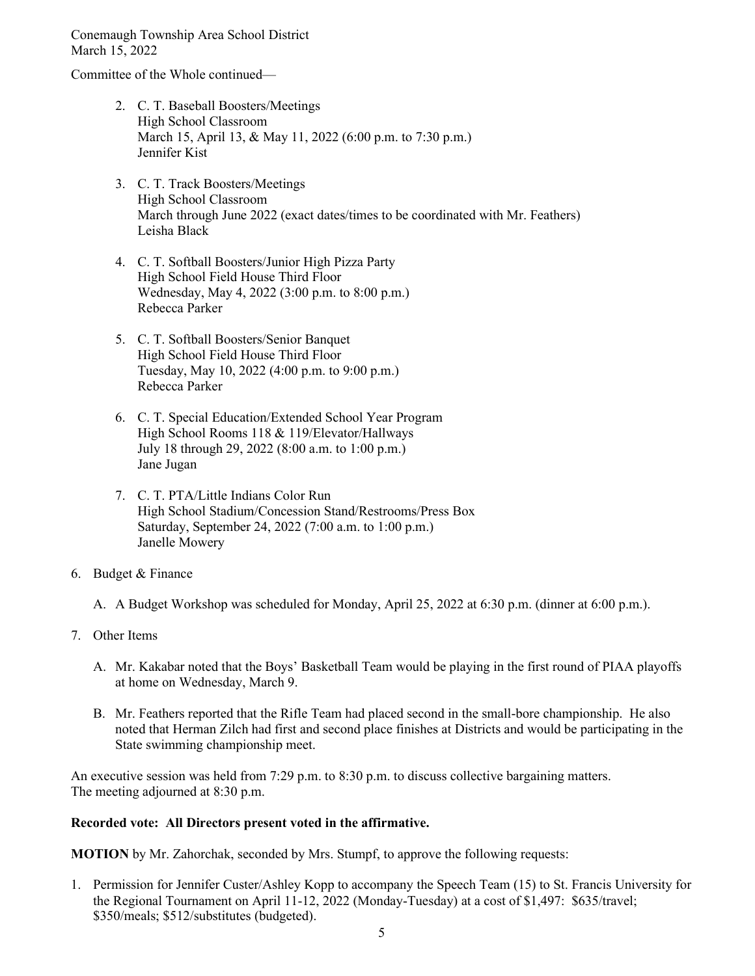Committee of the Whole continued—

- 2. C. T. Baseball Boosters/Meetings High School Classroom March 15, April 13, & May 11, 2022 (6:00 p.m. to 7:30 p.m.) Jennifer Kist
- 3. C. T. Track Boosters/Meetings High School Classroom March through June 2022 (exact dates/times to be coordinated with Mr. Feathers) Leisha Black
- 4. C. T. Softball Boosters/Junior High Pizza Party High School Field House Third Floor Wednesday, May 4, 2022 (3:00 p.m. to 8:00 p.m.) Rebecca Parker
- 5. C. T. Softball Boosters/Senior Banquet High School Field House Third Floor Tuesday, May 10, 2022 (4:00 p.m. to 9:00 p.m.) Rebecca Parker
- 6. C. T. Special Education/Extended School Year Program High School Rooms 118 & 119/Elevator/Hallways July 18 through 29, 2022 (8:00 a.m. to 1:00 p.m.) Jane Jugan
- 7. C. T. PTA/Little Indians Color Run High School Stadium/Concession Stand/Restrooms/Press Box Saturday, September 24, 2022 (7:00 a.m. to 1:00 p.m.) Janelle Mowery
- 6. Budget & Finance

A. A Budget Workshop was scheduled for Monday, April 25, 2022 at 6:30 p.m. (dinner at 6:00 p.m.).

- 7. Other Items
	- A. Mr. Kakabar noted that the Boys' Basketball Team would be playing in the first round of PIAA playoffs at home on Wednesday, March 9.
	- B. Mr. Feathers reported that the Rifle Team had placed second in the small-bore championship. He also noted that Herman Zilch had first and second place finishes at Districts and would be participating in the State swimming championship meet.

An executive session was held from 7:29 p.m. to 8:30 p.m. to discuss collective bargaining matters. The meeting adjourned at 8:30 p.m.

## **Recorded vote: All Directors present voted in the affirmative.**

**MOTION** by Mr. Zahorchak, seconded by Mrs. Stumpf, to approve the following requests:

1. Permission for Jennifer Custer/Ashley Kopp to accompany the Speech Team (15) to St. Francis University for the Regional Tournament on April 11-12, 2022 (Monday-Tuesday) at a cost of \$1,497: \$635/travel; \$350/meals; \$512/substitutes (budgeted).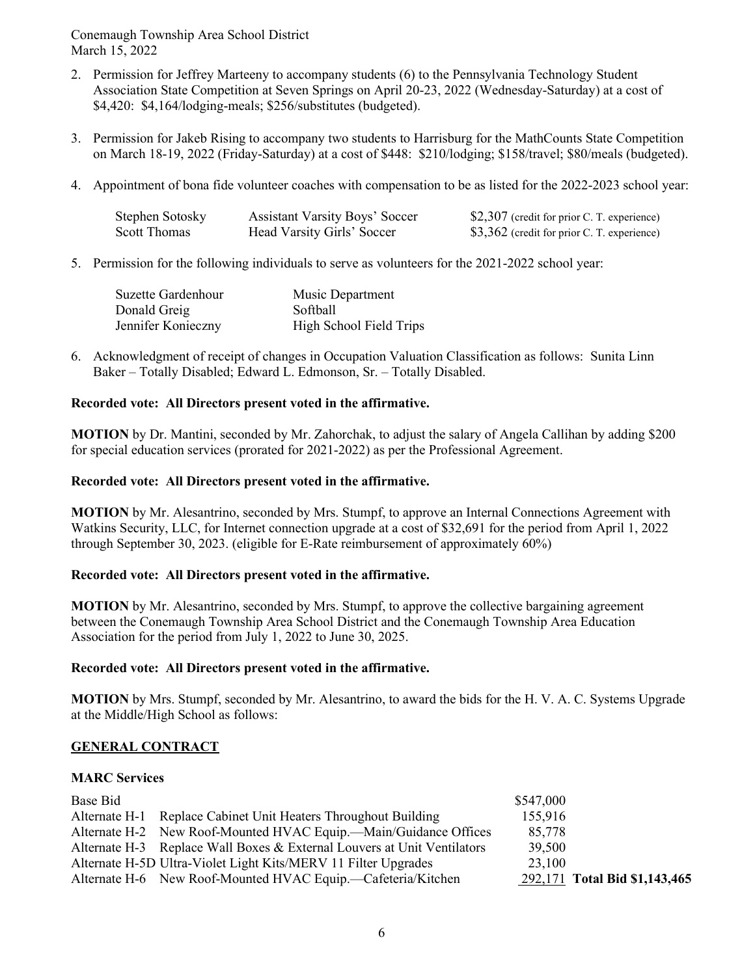- 2. Permission for Jeffrey Marteeny to accompany students (6) to the Pennsylvania Technology Student Association State Competition at Seven Springs on April 20-23, 2022 (Wednesday-Saturday) at a cost of \$4,420: \$4,164/lodging-meals; \$256/substitutes (budgeted).
- 3. Permission for Jakeb Rising to accompany two students to Harrisburg for the MathCounts State Competition on March 18-19, 2022 (Friday-Saturday) at a cost of \$448: \$210/lodging; \$158/travel; \$80/meals (budgeted).
- 4. Appointment of bona fide volunteer coaches with compensation to be as listed for the 2022-2023 school year:

| Stephen Sotosky | <b>Assistant Varsity Boys' Soccer</b> | \$2,307 (credit for prior C. T. experience) |
|-----------------|---------------------------------------|---------------------------------------------|
| Scott Thomas    | Head Varsity Girls' Soccer            | \$3,362 (credit for prior C. T. experience) |

5. Permission for the following individuals to serve as volunteers for the 2021-2022 school year:

| Suzette Gardenhour | Music Department        |
|--------------------|-------------------------|
| Donald Greig       | Softball                |
| Jennifer Konieczny | High School Field Trips |

6. Acknowledgment of receipt of changes in Occupation Valuation Classification as follows: Sunita Linn Baker – Totally Disabled; Edward L. Edmonson, Sr. – Totally Disabled.

# **Recorded vote: All Directors present voted in the affirmative.**

**MOTION** by Dr. Mantini, seconded by Mr. Zahorchak, to adjust the salary of Angela Callihan by adding \$200 for special education services (prorated for 2021-2022) as per the Professional Agreement.

#### **Recorded vote: All Directors present voted in the affirmative.**

**MOTION** by Mr. Alesantrino, seconded by Mrs. Stumpf, to approve an Internal Connections Agreement with Watkins Security, LLC, for Internet connection upgrade at a cost of \$32,691 for the period from April 1, 2022 through September 30, 2023. (eligible for E-Rate reimbursement of approximately 60%)

## **Recorded vote: All Directors present voted in the affirmative.**

**MOTION** by Mr. Alesantrino, seconded by Mrs. Stumpf, to approve the collective bargaining agreement between the Conemaugh Township Area School District and the Conemaugh Township Area Education Association for the period from July 1, 2022 to June 30, 2025.

## **Recorded vote: All Directors present voted in the affirmative.**

**MOTION** by Mrs. Stumpf, seconded by Mr. Alesantrino, to award the bids for the H. V. A. C. Systems Upgrade at the Middle/High School as follows:

## **GENERAL CONTRACT**

#### **MARC Services**

| Base Bid |                                                                         | \$547,000 |                               |
|----------|-------------------------------------------------------------------------|-----------|-------------------------------|
|          | Alternate H-1 Replace Cabinet Unit Heaters Throughout Building          | 155,916   |                               |
|          | Alternate H-2 New Roof-Mounted HVAC Equip.—Main/Guidance Offices        | 85,778    |                               |
|          | Alternate H-3 Replace Wall Boxes & External Louvers at Unit Ventilators | 39,500    |                               |
|          | Alternate H-5D Ultra-Violet Light Kits/MERV 11 Filter Upgrades          | 23,100    |                               |
|          | Alternate H-6 New Roof-Mounted HVAC Equip.—Cafeteria/Kitchen            |           | 292,171 Total Bid \$1,143,465 |